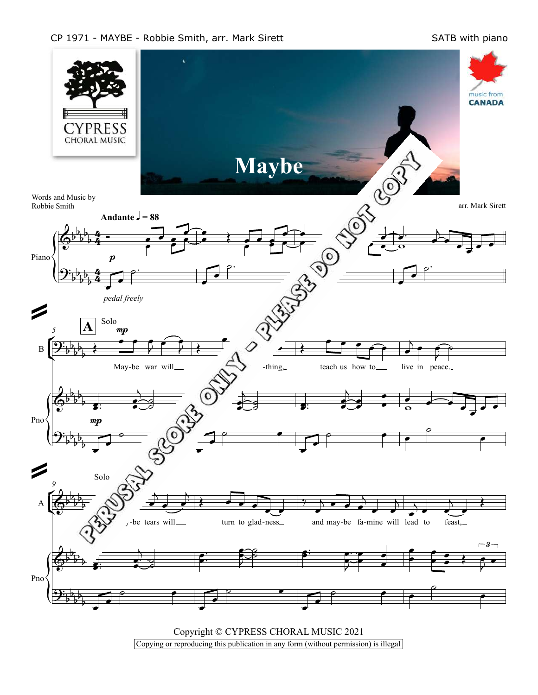

Copying or reproducing this publication in any form (without permission) is illegal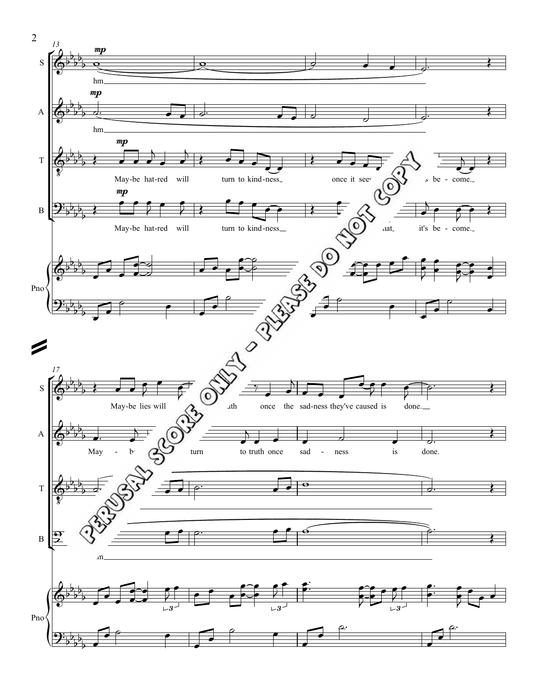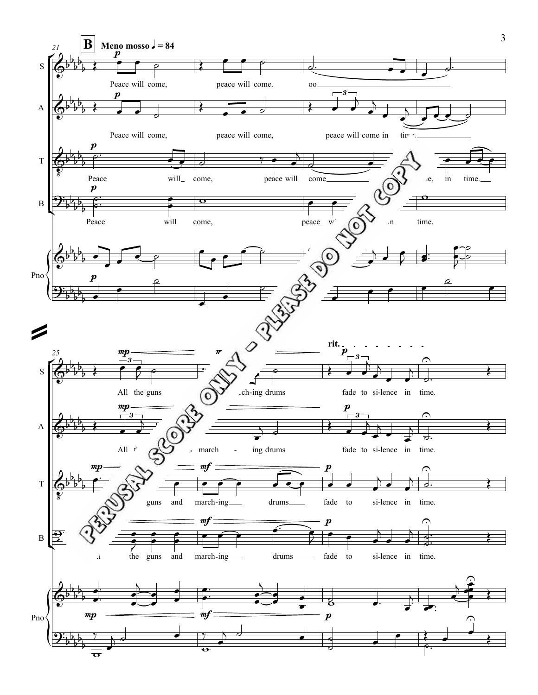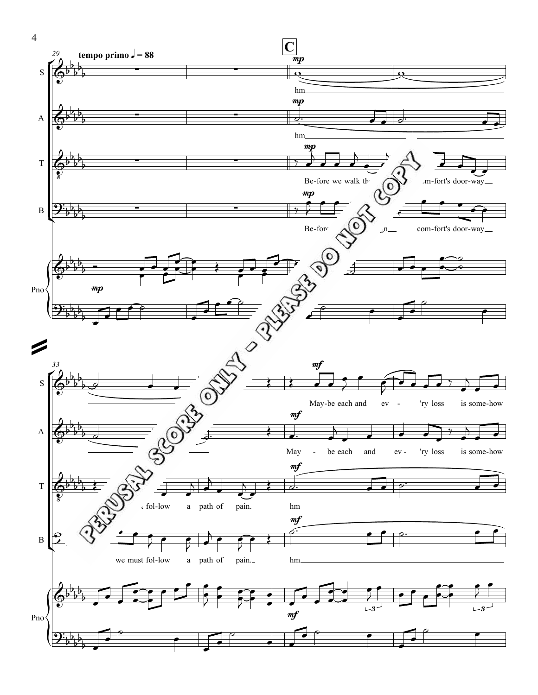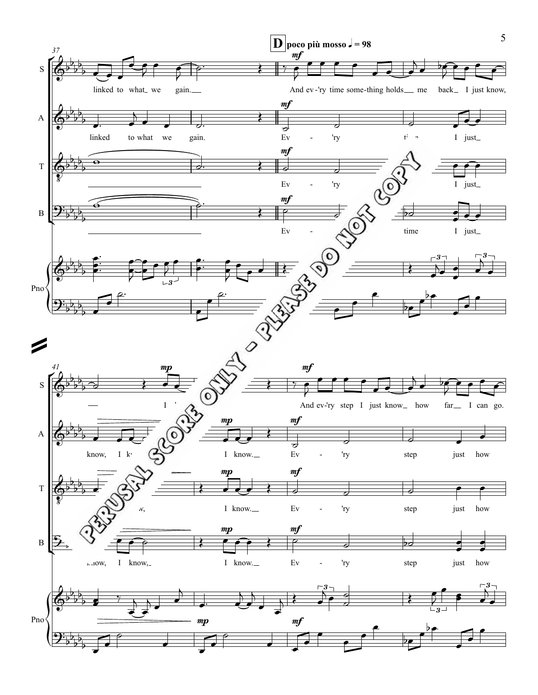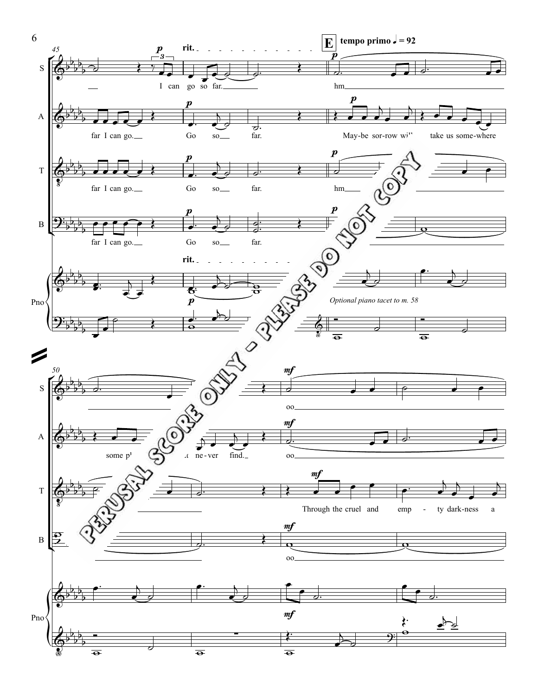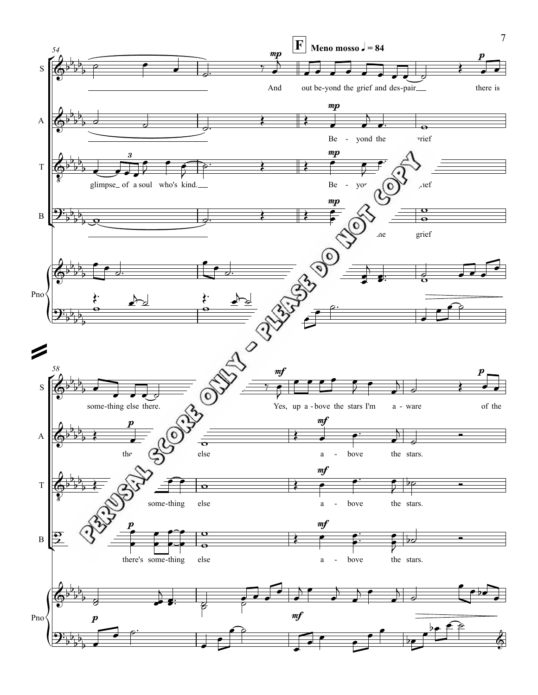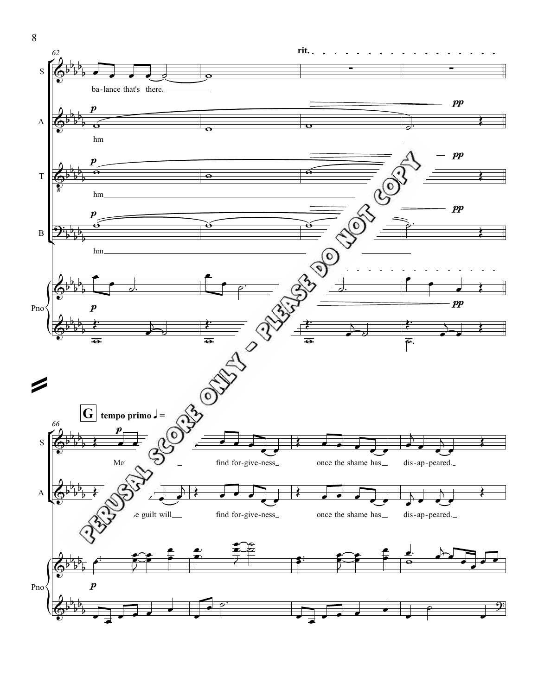

8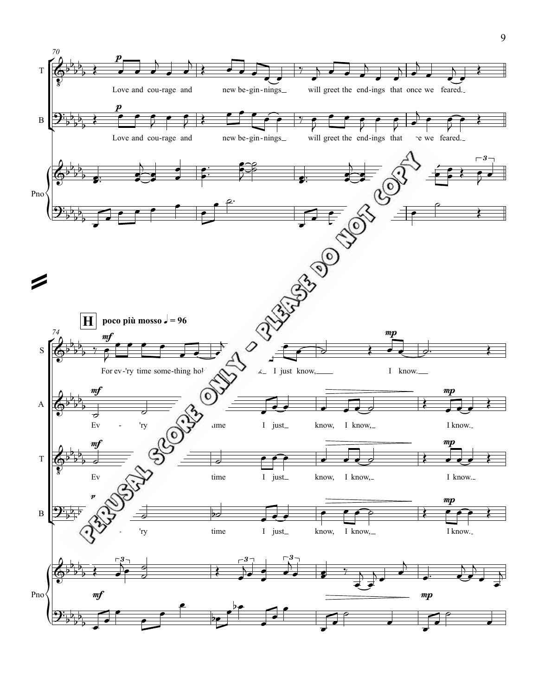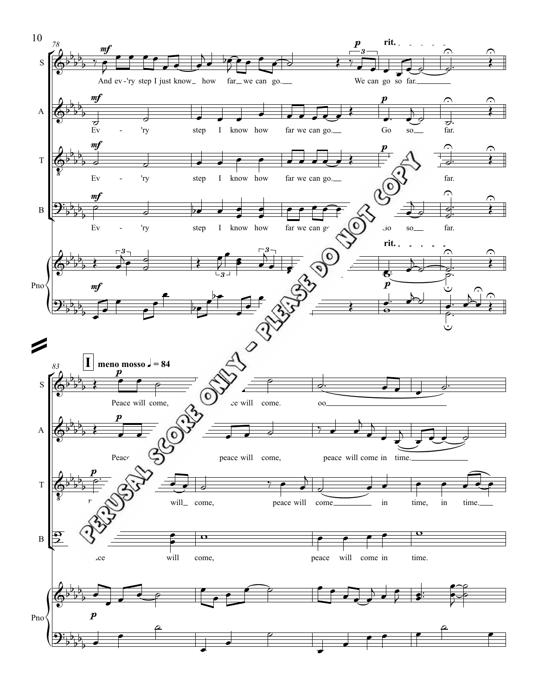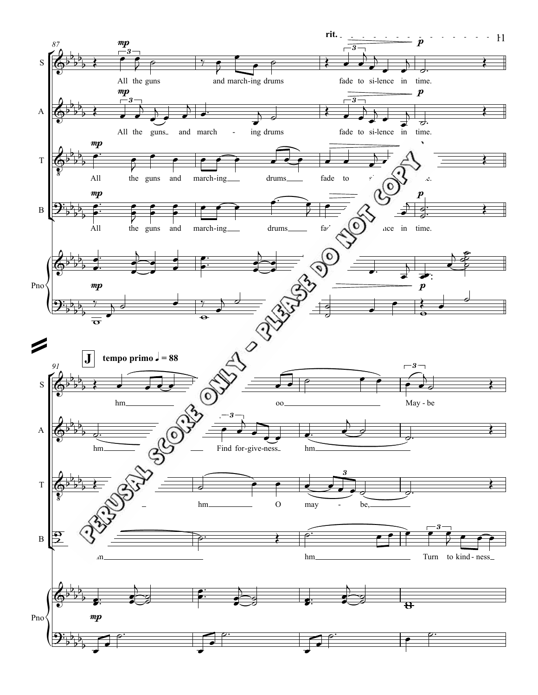